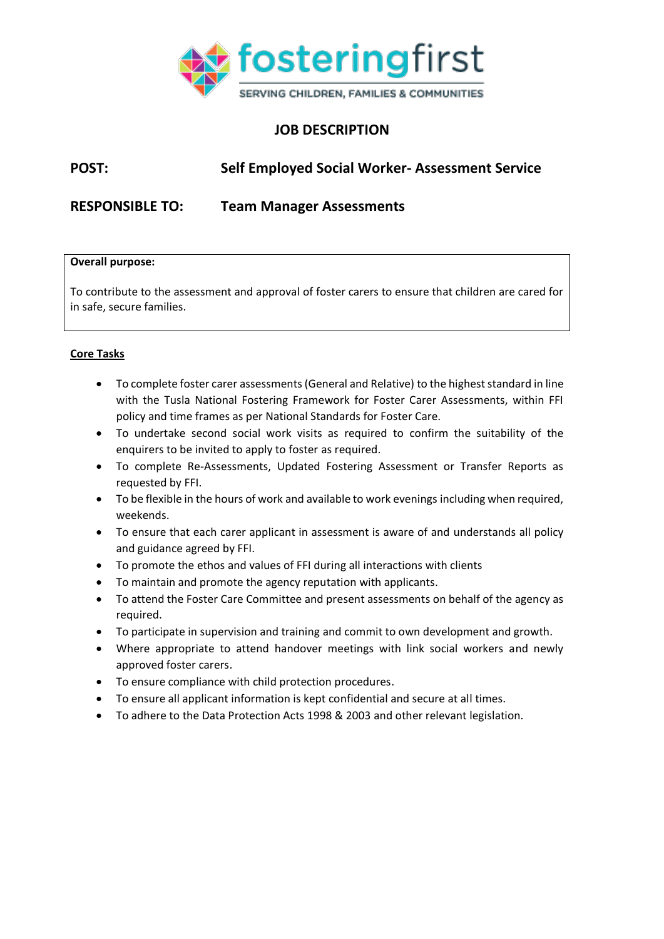

## **JOB DESCRIPTION**

# **POST: Self Employed Social Worker- Assessment Service**

**RESPONSIBLE TO: Team Manager Assessments**

#### **Overall purpose:**

To contribute to the assessment and approval of foster carers to ensure that children are cared for in safe, secure families.

#### **Core Tasks**

- To complete foster carer assessments (General and Relative) to the highest standard in line with the Tusla National Fostering Framework for Foster Carer Assessments, within FFI policy and time frames as per National Standards for Foster Care.
- To undertake second social work visits as required to confirm the suitability of the enquirers to be invited to apply to foster as required.
- To complete Re-Assessments, Updated Fostering Assessment or Transfer Reports as requested by FFI.
- To be flexible in the hours of work and available to work evenings including when required, weekends.
- To ensure that each carer applicant in assessment is aware of and understands all policy and guidance agreed by FFI.
- To promote the ethos and values of FFI during all interactions with clients
- To maintain and promote the agency reputation with applicants.
- To attend the Foster Care Committee and present assessments on behalf of the agency as required.
- To participate in supervision and training and commit to own development and growth.
- Where appropriate to attend handover meetings with link social workers and newly approved foster carers.
- To ensure compliance with child protection procedures.
- To ensure all applicant information is kept confidential and secure at all times.
- To adhere to the Data Protection Acts 1998 & 2003 and other relevant legislation.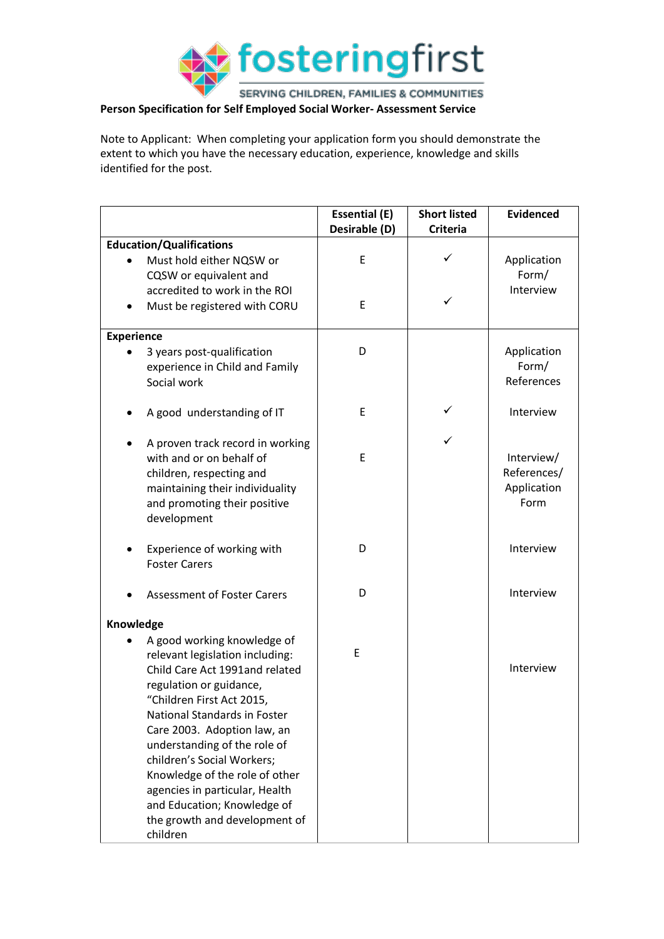

SERVING CHILDREN, FAMILIES & COMMUNITIES

### **Person Specification for Self Employed Social Worker- Assessment Service**

Note to Applicant: When completing your application form you should demonstrate the extent to which you have the necessary education, experience, knowledge and skills identified for the post.

|                                 |                                                                  | <b>Essential (E)</b><br>Desirable (D) | <b>Short listed</b><br><b>Criteria</b> | <b>Evidenced</b> |
|---------------------------------|------------------------------------------------------------------|---------------------------------------|----------------------------------------|------------------|
| <b>Education/Qualifications</b> |                                                                  |                                       |                                        |                  |
|                                 | Must hold either NQSW or                                         | E                                     | ✓                                      | Application      |
|                                 | CQSW or equivalent and                                           |                                       |                                        | Form/            |
|                                 | accredited to work in the ROI                                    |                                       |                                        | Interview        |
|                                 | Must be registered with CORU                                     | E                                     | ✓                                      |                  |
|                                 |                                                                  |                                       |                                        |                  |
| <b>Experience</b>               |                                                                  |                                       |                                        |                  |
|                                 | 3 years post-qualification                                       | D                                     |                                        | Application      |
|                                 | experience in Child and Family                                   |                                       |                                        | Form/            |
|                                 | Social work                                                      |                                       |                                        | References       |
|                                 |                                                                  |                                       |                                        |                  |
|                                 | A good understanding of IT                                       | E                                     | ✓                                      | Interview        |
|                                 |                                                                  |                                       |                                        |                  |
|                                 | A proven track record in working                                 |                                       | ✓                                      |                  |
|                                 | with and or on behalf of                                         | E                                     |                                        | Interview/       |
|                                 | children, respecting and                                         |                                       |                                        | References/      |
|                                 | maintaining their individuality                                  |                                       |                                        | Application      |
|                                 | and promoting their positive                                     |                                       |                                        | Form             |
|                                 | development                                                      |                                       |                                        |                  |
|                                 |                                                                  |                                       |                                        |                  |
|                                 | Experience of working with                                       | D                                     |                                        | Interview        |
|                                 | <b>Foster Carers</b>                                             |                                       |                                        |                  |
|                                 |                                                                  |                                       |                                        |                  |
|                                 | <b>Assessment of Foster Carers</b>                               | D                                     |                                        | Interview        |
|                                 |                                                                  |                                       |                                        |                  |
| Knowledge                       |                                                                  |                                       |                                        |                  |
|                                 | A good working knowledge of                                      | E                                     |                                        |                  |
|                                 | relevant legislation including:                                  |                                       |                                        | Interview        |
|                                 | Child Care Act 1991and related                                   |                                       |                                        |                  |
|                                 | regulation or guidance,                                          |                                       |                                        |                  |
|                                 | "Children First Act 2015,<br><b>National Standards in Foster</b> |                                       |                                        |                  |
|                                 |                                                                  |                                       |                                        |                  |
|                                 | Care 2003. Adoption law, an                                      |                                       |                                        |                  |
|                                 | understanding of the role of<br>children's Social Workers;       |                                       |                                        |                  |
|                                 | Knowledge of the role of other                                   |                                       |                                        |                  |
|                                 | agencies in particular, Health                                   |                                       |                                        |                  |
|                                 | and Education; Knowledge of                                      |                                       |                                        |                  |
|                                 | the growth and development of                                    |                                       |                                        |                  |
|                                 | children                                                         |                                       |                                        |                  |
|                                 |                                                                  |                                       |                                        |                  |